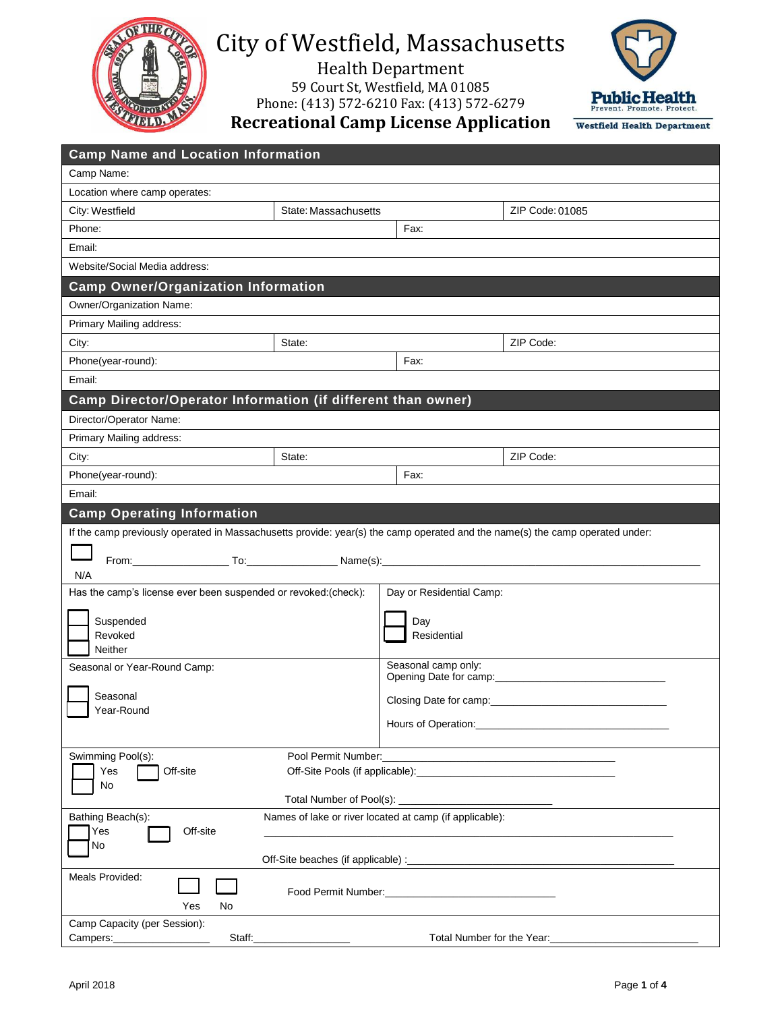

# City of Westfield, Massachusetts

Health Department 59 Court St, Westfield, MA 01085 Phone: (413) 572-6210 Fax: (413) 572-6279



**Recreational Camp License Application**

| <b>Camp Name and Location Information</b>                                                                                           |                      |                                                |                 |  |  |
|-------------------------------------------------------------------------------------------------------------------------------------|----------------------|------------------------------------------------|-----------------|--|--|
| Camp Name:                                                                                                                          |                      |                                                |                 |  |  |
| Location where camp operates:                                                                                                       |                      |                                                |                 |  |  |
| City: Westfield                                                                                                                     | State: Massachusetts |                                                | ZIP Code: 01085 |  |  |
| Phone:                                                                                                                              |                      | Fax:                                           |                 |  |  |
| Email:                                                                                                                              |                      |                                                |                 |  |  |
| Website/Social Media address:                                                                                                       |                      |                                                |                 |  |  |
| <b>Camp Owner/Organization Information</b>                                                                                          |                      |                                                |                 |  |  |
| Owner/Organization Name:                                                                                                            |                      |                                                |                 |  |  |
| Primary Mailing address:                                                                                                            |                      |                                                |                 |  |  |
| City:                                                                                                                               | State:               |                                                | ZIP Code:       |  |  |
| Phone(year-round):                                                                                                                  |                      | Fax:                                           |                 |  |  |
| Email:                                                                                                                              |                      |                                                |                 |  |  |
| Camp Director/Operator Information (if different than owner)                                                                        |                      |                                                |                 |  |  |
| Director/Operator Name:                                                                                                             |                      |                                                |                 |  |  |
| Primary Mailing address:                                                                                                            |                      |                                                |                 |  |  |
| City:                                                                                                                               | State:               |                                                | ZIP Code:       |  |  |
| Phone(year-round):                                                                                                                  |                      | Fax:                                           |                 |  |  |
| Email:                                                                                                                              |                      |                                                |                 |  |  |
| <b>Camp Operating Information</b>                                                                                                   |                      |                                                |                 |  |  |
| If the camp previously operated in Massachusetts provide: year(s) the camp operated and the name(s) the camp operated under:<br>N/A |                      |                                                |                 |  |  |
| Has the camp's license ever been suspended or revoked:(check):<br>Suspended<br>Revoked<br>Neither                                   |                      | Day or Residential Camp:<br>Day<br>Residential |                 |  |  |
| Seasonal or Year-Round Camp:                                                                                                        |                      | Seasonal camp only:                            |                 |  |  |
| Seasonal                                                                                                                            |                      |                                                |                 |  |  |
| Year-Round                                                                                                                          |                      | Closing Date for camp:___________              |                 |  |  |
|                                                                                                                                     |                      | Hours of Operation:                            |                 |  |  |
| Swimming Pool(s):<br>Pool Permit Number:                                                                                            |                      |                                                |                 |  |  |
| Off-site<br>Yes                                                                                                                     |                      |                                                |                 |  |  |
| No<br>Total Number of Pool(s): __                                                                                                   |                      |                                                |                 |  |  |
| Bathing Beach(s):<br>Names of lake or river located at camp (if applicable):                                                        |                      |                                                |                 |  |  |
| Off-site<br>Yes<br>No                                                                                                               |                      |                                                |                 |  |  |
|                                                                                                                                     |                      |                                                |                 |  |  |
| Meals Provided:<br>Food Permit Number: National Property of Permit Number:<br>Yes<br>No                                             |                      |                                                |                 |  |  |
| Camp Capacity (per Session):                                                                                                        |                      |                                                |                 |  |  |
| Total Number for the Year:<br>Campers: __________________<br>Staff:                                                                 |                      |                                                |                 |  |  |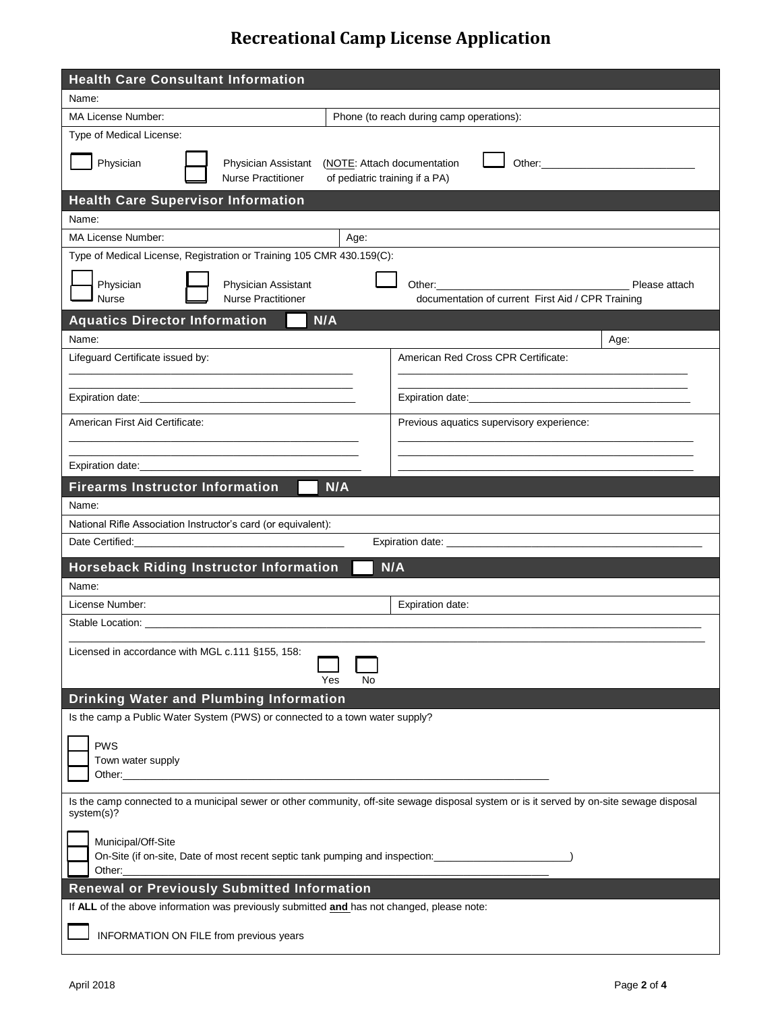# **Recreational Camp License Application**

| <b>Health Care Consultant Information</b>                                                                                                                                                                                                                                                                                                                        |                                                                                                                                           |  |  |  |  |
|------------------------------------------------------------------------------------------------------------------------------------------------------------------------------------------------------------------------------------------------------------------------------------------------------------------------------------------------------------------|-------------------------------------------------------------------------------------------------------------------------------------------|--|--|--|--|
| Name:                                                                                                                                                                                                                                                                                                                                                            |                                                                                                                                           |  |  |  |  |
| MA License Number:<br>Phone (to reach during camp operations):                                                                                                                                                                                                                                                                                                   |                                                                                                                                           |  |  |  |  |
| Type of Medical License:                                                                                                                                                                                                                                                                                                                                         |                                                                                                                                           |  |  |  |  |
| Physician<br>(NOTE: Attach documentation<br>Other: The Company of the Company of the Company of the Company of the Company of the Company of the Company of the Company of the Company of the Company of the Company of the Company of the Company of the Company of the C<br>Physician Assistant<br><b>Nurse Practitioner</b><br>of pediatric training if a PA) |                                                                                                                                           |  |  |  |  |
| <b>Health Care Supervisor Information</b>                                                                                                                                                                                                                                                                                                                        |                                                                                                                                           |  |  |  |  |
| Name:                                                                                                                                                                                                                                                                                                                                                            |                                                                                                                                           |  |  |  |  |
| MA License Number:<br>Age:                                                                                                                                                                                                                                                                                                                                       |                                                                                                                                           |  |  |  |  |
| Type of Medical License, Registration or Training 105 CMR 430.159(C):                                                                                                                                                                                                                                                                                            |                                                                                                                                           |  |  |  |  |
| Physician<br>Physician Assistant<br><b>Nurse</b><br><b>Nurse Practitioner</b>                                                                                                                                                                                                                                                                                    | Please attach<br>documentation of current First Aid / CPR Training                                                                        |  |  |  |  |
| N/A<br><b>Aquatics Director Information</b>                                                                                                                                                                                                                                                                                                                      |                                                                                                                                           |  |  |  |  |
| Name:                                                                                                                                                                                                                                                                                                                                                            | Age:                                                                                                                                      |  |  |  |  |
| Lifeguard Certificate issued by:                                                                                                                                                                                                                                                                                                                                 | American Red Cross CPR Certificate:                                                                                                       |  |  |  |  |
| the control of the control of the control of the control of the control of the control of                                                                                                                                                                                                                                                                        | the control of the control of the control of the control of the control of the control of                                                 |  |  |  |  |
|                                                                                                                                                                                                                                                                                                                                                                  |                                                                                                                                           |  |  |  |  |
| American First Aid Certificate:                                                                                                                                                                                                                                                                                                                                  | Previous aquatics supervisory experience:                                                                                                 |  |  |  |  |
|                                                                                                                                                                                                                                                                                                                                                                  |                                                                                                                                           |  |  |  |  |
| <b>Firearms Instructor Information</b><br>N/A                                                                                                                                                                                                                                                                                                                    |                                                                                                                                           |  |  |  |  |
| Name:                                                                                                                                                                                                                                                                                                                                                            |                                                                                                                                           |  |  |  |  |
| National Rifle Association Instructor's card (or equivalent):                                                                                                                                                                                                                                                                                                    |                                                                                                                                           |  |  |  |  |
|                                                                                                                                                                                                                                                                                                                                                                  |                                                                                                                                           |  |  |  |  |
| <b>Horseback Riding Instructor Information</b>                                                                                                                                                                                                                                                                                                                   | N/A                                                                                                                                       |  |  |  |  |
| Name:                                                                                                                                                                                                                                                                                                                                                            |                                                                                                                                           |  |  |  |  |
| License Number:                                                                                                                                                                                                                                                                                                                                                  | Expiration date:                                                                                                                          |  |  |  |  |
| Stable Location: Stable 1                                                                                                                                                                                                                                                                                                                                        |                                                                                                                                           |  |  |  |  |
| Licensed in accordance with MGL c.111 §155, 158:<br>No<br>Yes                                                                                                                                                                                                                                                                                                    |                                                                                                                                           |  |  |  |  |
| Drinking Water and Plumbing Information                                                                                                                                                                                                                                                                                                                          |                                                                                                                                           |  |  |  |  |
| Is the camp a Public Water System (PWS) or connected to a town water supply?                                                                                                                                                                                                                                                                                     |                                                                                                                                           |  |  |  |  |
| <b>PWS</b><br>Town water supply<br>Other:____________                                                                                                                                                                                                                                                                                                            |                                                                                                                                           |  |  |  |  |
| system(s)?                                                                                                                                                                                                                                                                                                                                                       | Is the camp connected to a municipal sewer or other community, off-site sewage disposal system or is it served by on-site sewage disposal |  |  |  |  |
| Municipal/Off-Site<br>On-Site (if on-site, Date of most recent septic tank pumping and inspection:<br>Other:                                                                                                                                                                                                                                                     |                                                                                                                                           |  |  |  |  |
| <b>Renewal or Previously Submitted Information</b>                                                                                                                                                                                                                                                                                                               |                                                                                                                                           |  |  |  |  |
| If ALL of the above information was previously submitted and has not changed, please note:                                                                                                                                                                                                                                                                       |                                                                                                                                           |  |  |  |  |
| INFORMATION ON FILE from previous years                                                                                                                                                                                                                                                                                                                          |                                                                                                                                           |  |  |  |  |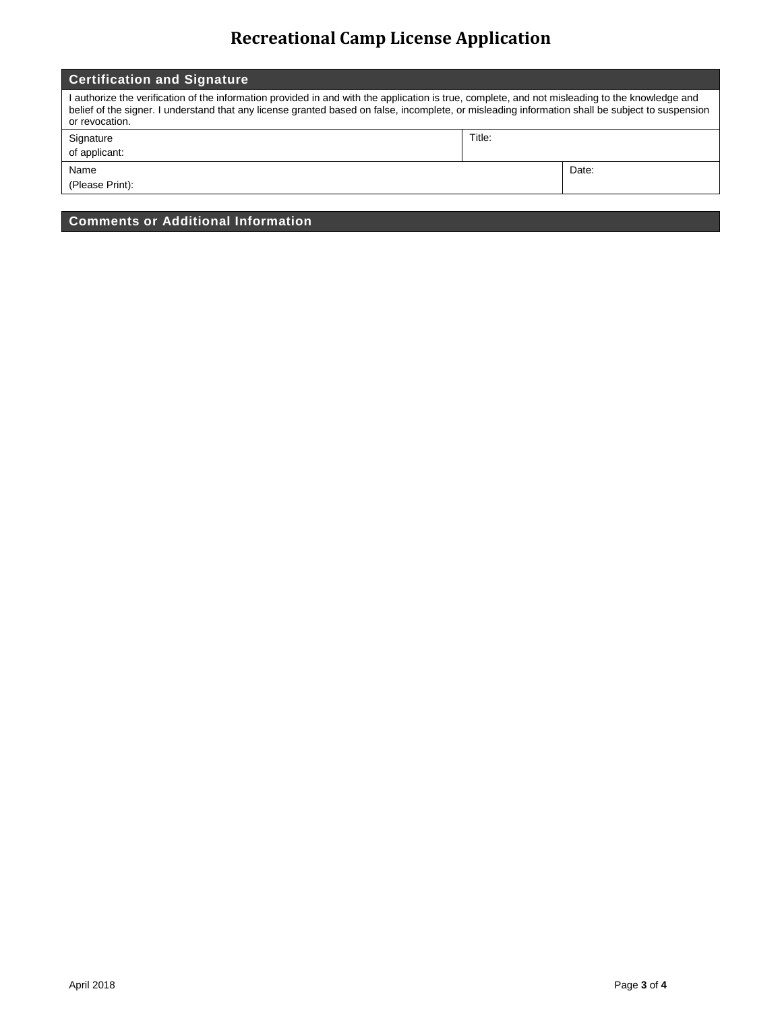# **Recreational Camp License Application**

| <b>Certification and Signature</b>                                                                                                                                                                                                                                                                                    |        |       |  |  |
|-----------------------------------------------------------------------------------------------------------------------------------------------------------------------------------------------------------------------------------------------------------------------------------------------------------------------|--------|-------|--|--|
| I authorize the verification of the information provided in and with the application is true, complete, and not misleading to the knowledge and<br>belief of the signer. I understand that any license granted based on false, incomplete, or misleading information shall be subject to suspension<br>or revocation. |        |       |  |  |
| Signature                                                                                                                                                                                                                                                                                                             | Title: |       |  |  |
| of applicant:                                                                                                                                                                                                                                                                                                         |        |       |  |  |
| Name                                                                                                                                                                                                                                                                                                                  |        | Date: |  |  |
| (Please Print):                                                                                                                                                                                                                                                                                                       |        |       |  |  |

**Comments or Additional Information**